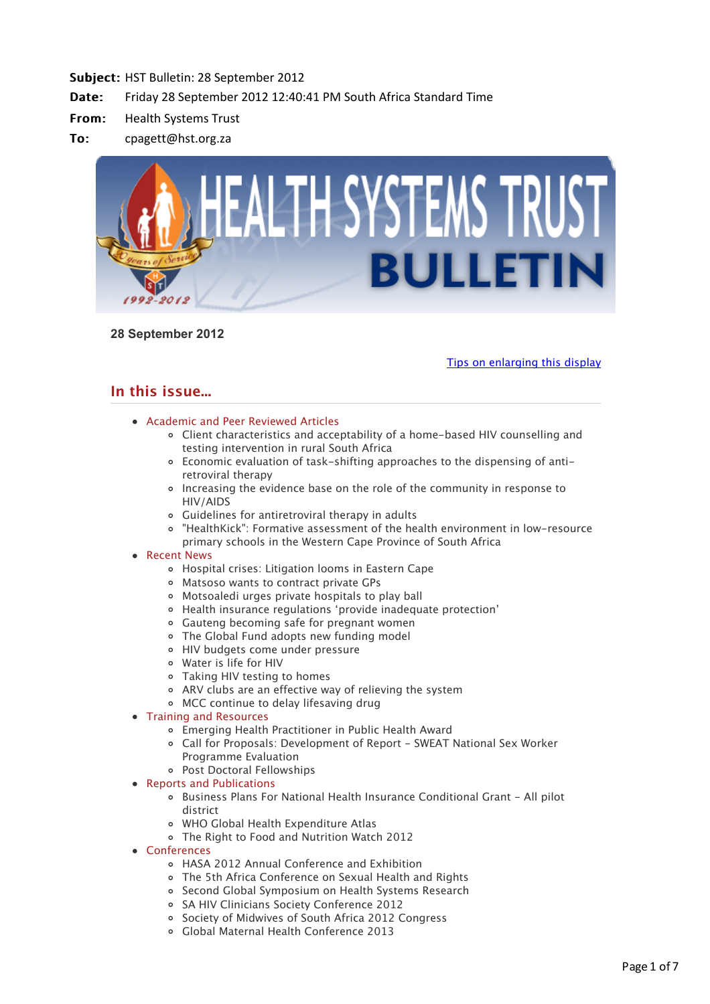

**28 September 2012**

[Tips on enlarging this display](http://bulletin.hst.org.za//lt.php?id=K09VDVBUVgUCSlBWAUUHC1NR)

# **In this issue...**

- [Academic and Peer Reviewed Articles](applewebdata://C25E41A8-66B7-47D9-968B-FF5C017F2E7B#Academic)
	- [Client characteristics and acceptability of a home-based HIV counselling and](applewebdata://C25E41A8-66B7-47D9-968B-FF5C017F2E7B#A_1) testing intervention in rural South Africa
	- [Economic evaluation of task-shifting approaches to the dispensing of anti](applewebdata://C25E41A8-66B7-47D9-968B-FF5C017F2E7B#A_2)retroviral therapy
	- [Increasing the evidence base on the role of the community in response to](applewebdata://C25E41A8-66B7-47D9-968B-FF5C017F2E7B#A_3) HIV/AIDS
	- [Guidelines for antiretroviral therapy in adults](applewebdata://C25E41A8-66B7-47D9-968B-FF5C017F2E7B#A_4)
	- ["HealthKick": Formative assessment of the health environment in low-resource](applewebdata://C25E41A8-66B7-47D9-968B-FF5C017F2E7B#A_5) primary schools in the Western Cape Province of South Africa
- [Recent News](applewebdata://C25E41A8-66B7-47D9-968B-FF5C017F2E7B#recent)
	- [Hospital crises: Litigation looms in Eastern Cape](applewebdata://C25E41A8-66B7-47D9-968B-FF5C017F2E7B#N_1)
	- [Matsoso wants to contract private GPs](applewebdata://C25E41A8-66B7-47D9-968B-FF5C017F2E7B#N_2)
	- [Motsoaledi urges private hospitals to play ball](applewebdata://C25E41A8-66B7-47D9-968B-FF5C017F2E7B#N_3)
	- [Health insurance regulations 'provide inadequate protection'](applewebdata://C25E41A8-66B7-47D9-968B-FF5C017F2E7B#N_4)
	- [Gauteng becoming safe for pregnant women](applewebdata://C25E41A8-66B7-47D9-968B-FF5C017F2E7B#N_5)
	- [The Global Fund adopts new funding model](applewebdata://C25E41A8-66B7-47D9-968B-FF5C017F2E7B#N_6)
	- [HIV budgets come under pressure](applewebdata://C25E41A8-66B7-47D9-968B-FF5C017F2E7B#N_7)
	- [Water is life for HIV](applewebdata://C25E41A8-66B7-47D9-968B-FF5C017F2E7B#N_8)
	- [Taking HIV testing to homes](applewebdata://C25E41A8-66B7-47D9-968B-FF5C017F2E7B#N_9)
	- [ARV clubs are an effective way of relieving the system](applewebdata://C25E41A8-66B7-47D9-968B-FF5C017F2E7B#N_10)
	- [MCC continue to delay lifesaving drug](applewebdata://C25E41A8-66B7-47D9-968B-FF5C017F2E7B#N_11)
- [Training and Resources](applewebdata://C25E41A8-66B7-47D9-968B-FF5C017F2E7B#train)
	- [Emerging Health Practitioner in Public Health Award](applewebdata://C25E41A8-66B7-47D9-968B-FF5C017F2E7B#T_0)
	- [Call for Proposals: Development of Report SWEAT National Sex Worker](applewebdata://C25E41A8-66B7-47D9-968B-FF5C017F2E7B#T_1) Programme Evaluation
	- [Post Doctoral Fellowships](applewebdata://C25E41A8-66B7-47D9-968B-FF5C017F2E7B#T_2)

# • [Reports and Publications](applewebdata://C25E41A8-66B7-47D9-968B-FF5C017F2E7B#publications)

- [Business Plans For National Health Insurance Conditional Grant All pilot](applewebdata://C25E41A8-66B7-47D9-968B-FF5C017F2E7B#P_1) district
- [WHO Global Health Expenditure Atlas](applewebdata://C25E41A8-66B7-47D9-968B-FF5C017F2E7B#P_2)
- [The Right to Food and Nutrition Watch 2012](applewebdata://C25E41A8-66B7-47D9-968B-FF5C017F2E7B#P_3)
- [Conferences](applewebdata://C25E41A8-66B7-47D9-968B-FF5C017F2E7B#conferences)
	- [HASA 2012 Annual Conference and Exhibition](applewebdata://C25E41A8-66B7-47D9-968B-FF5C017F2E7B#C_4)
	- [The 5th Africa Conference on Sexual Health and Rights](applewebdata://C25E41A8-66B7-47D9-968B-FF5C017F2E7B#C_5)
	- o [Second Global Symposium on Health Systems Research](applewebdata://C25E41A8-66B7-47D9-968B-FF5C017F2E7B#C_6)
	- o [SA HIV Clinicians Society Conference 2012](applewebdata://C25E41A8-66B7-47D9-968B-FF5C017F2E7B#C_7)
	- o [Society of Midwives of South Africa 2012 Congress](applewebdata://C25E41A8-66B7-47D9-968B-FF5C017F2E7B#C_8)
	- [Global Maternal Health Conference 2013](applewebdata://C25E41A8-66B7-47D9-968B-FF5C017F2E7B#C_9)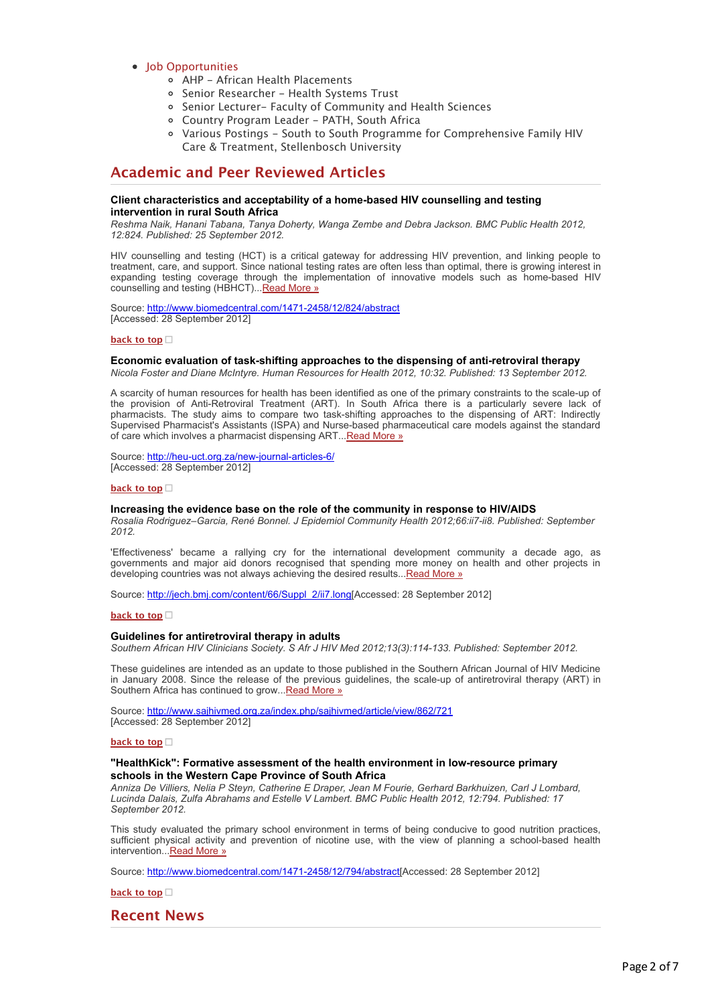# [Job Opportunities](applewebdata://C25E41A8-66B7-47D9-968B-FF5C017F2E7B#jobs)

- [AHP African Health Placements](applewebdata://C25E41A8-66B7-47D9-968B-FF5C017F2E7B#J_0)
- [Senior Researcher Health Systems Trust](applewebdata://C25E41A8-66B7-47D9-968B-FF5C017F2E7B#J_1)
- [Senior Lecturer- Faculty of Community and Health Sciences](applewebdata://C25E41A8-66B7-47D9-968B-FF5C017F2E7B#J_3)
- [Country Program Leader PATH, South Africa](applewebdata://C25E41A8-66B7-47D9-968B-FF5C017F2E7B#J_4)
- [Various Postings South to South Programme for Comprehensive Family HIV](applewebdata://C25E41A8-66B7-47D9-968B-FF5C017F2E7B#J_5) Care & Treatment, Stellenbosch University

# **Academic and Peer Reviewed Articles**

## **Client characteristics and acceptability of a home-based HIV counselling and testing intervention in rural South Africa**

*Reshma Naik, Hanani Tabana, Tanya Doherty, Wanga Zembe and Debra Jackson. BMC Public Health 2012, 12:824. Published: 25 September 2012.*

HIV counselling and testing (HCT) is a critical gateway for addressing HIV prevention, and linking people to treatment, care, and support. Since national testing rates are often less than optimal, there is growing interest in expanding testing coverage through the implementation of innovative models such as home-based HIV counselling and testing (HBHCT)... [Read More »](http://bulletin.hst.org.za//lt.php?id=K09VDVBUVgUBSlBWAUUHC1NR)

Source: [http://www.biomedcentral.com/1471-2458/12/824/abstract](http://bulletin.hst.org.za//lt.php?id=K09VDVBUVgUBSlBWAUUHC1NR) [Accessed: 28 September 2012]

## **[back to top](applewebdata://C25E41A8-66B7-47D9-968B-FF5C017F2E7B#top)**

## **Economic evaluation of task-shifting approaches to the dispensing of anti-retroviral therapy**

*Nicola Foster and Diane McIntyre. Human Resources for Health 2012, 10:32. Published: 13 September 2012.*

A scarcity of human resources for health has been identified as one of the primary constraints to the scale-up of the provision of Anti-Retroviral Treatment (ART). In South Africa there is a particularly severe lack of pharmacists. The study aims to compare two task-shifting approaches to the dispensing of ART: Indirectly Supervised Pharmacist's Assistants (ISPA) and Nurse-based pharmaceutical care models against the standard of care which involves a pharmacist dispensing ART... Read More »

Source: [http://heu-uct.org.za/new-journal-articles-6/](http://bulletin.hst.org.za//lt.php?id=K09VDVBUVgUASlBWAUUHC1NR) [Accessed: 28 September 2012]

## **[back to top](applewebdata://C25E41A8-66B7-47D9-968B-FF5C017F2E7B#top)**

## **Increasing the evidence base on the role of the community in response to HIV/AIDS**

*Rosalia Rodriguez–Garcia, René Bonnel. J Epidemiol Community Health 2012;66:ii7-ii8. Published: September 2012.*

'Effectiveness' became a rallying cry for the international development community a decade ago, as governments and major aid donors recognised that spending more money on health and other projects in developing countries was not always achieving the desired results... Read More »

Source: [http://jech.bmj.com/content/66/Suppl\\_2/ii7.long\[](http://bulletin.hst.org.za//lt.php?id=K09VDVBUVgUPSlBWAUUHC1NR)Accessed: 28 September 2012]

#### **[back to top](applewebdata://C25E41A8-66B7-47D9-968B-FF5C017F2E7B#top)**

## **Guidelines for antiretroviral therapy in adults**

*Southern African HIV Clinicians Society. S Afr J HIV Med 2012;13(3):114-133. Published: September 2012.*

These guidelines are intended as an update to those published in the Southern African Journal of HIV Medicine in January 2008. Since the release of the previous guidelines, the scale-up of antiretroviral therapy (ART) in Southern Africa has continued to grow... Read More »

Source: [http://www.sajhivmed.org.za/index.php/sajhivmed/article/view/862/721](http://bulletin.hst.org.za//lt.php?id=K09VDVBUVgUOSlBWAUUHC1NR) [Accessed: 28 September 2012]

#### **[back to top](applewebdata://C25E41A8-66B7-47D9-968B-FF5C017F2E7B#top)**

## **"HealthKick": Formative assessment of the health environment in low-resource primary schools in the Western Cape Province of South Africa**

*Anniza De Villiers, Nelia P Steyn, Catherine E Draper, Jean M Fourie, Gerhard Barkhuizen, Carl J Lombard, Lucinda Dalais, Zulfa Abrahams and Estelle V Lambert. BMC Public Health 2012, 12:794. Published: 17 September 2012.*

This study evaluated the primary school environment in terms of being conducive to good nutrition practices, sufficient physical activity and prevention of nicotine use, with the view of planning a school-based health intervention..[.Read More »](http://bulletin.hst.org.za//lt.php?id=K09VDVBUVgIHSlBWAUUHC1NR)

Source: [http://www.biomedcentral.com/1471-2458/12/794/abstract\[](http://bulletin.hst.org.za//lt.php?id=K09VDVBUVgIHSlBWAUUHC1NR)Accessed: 28 September 2012]

**[back to top](applewebdata://C25E41A8-66B7-47D9-968B-FF5C017F2E7B#top)**

# **Recent News**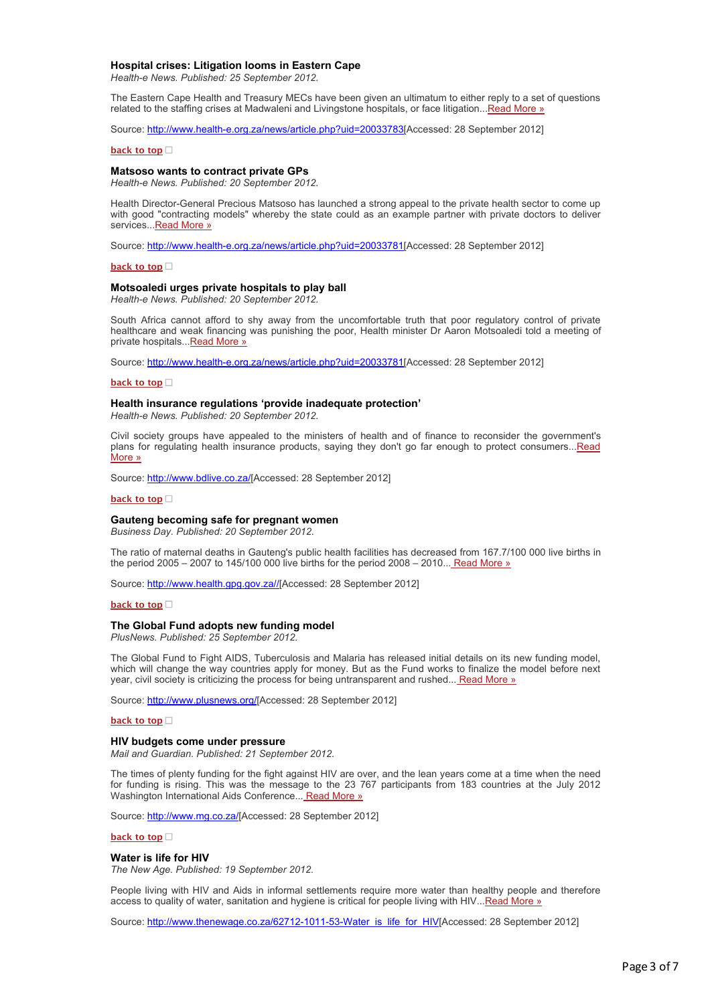#### **Hospital crises: Litigation looms in Eastern Cape**

*Health-e News. Published: 25 September 2012.*

The Eastern Cape Health and Treasury MECs have been given an ultimatum to either reply to a set of questions related to the staffing crises at Madwaleni and Livingstone hospitals, or face litigation..[.Read More »](http://bulletin.hst.org.za//lt.php?id=K09VDVBUVgIGSlBWAUUHC1NR)

Source: [http://www.health-e.org.za/news/article.php?uid=20033783\[](http://bulletin.hst.org.za//lt.php?id=K09VDVBUVgIFSlBWAUUHC1NR)Accessed: 28 September 2012]

#### **[back to top](applewebdata://C25E41A8-66B7-47D9-968B-FF5C017F2E7B#top)**

## **Matsoso wants to contract private GPs**

*Health-e News. Published: 20 September 2012.*

Health Director-General Precious Matsoso has launched a strong appeal to the private health sector to come up with good "contracting models" whereby the state could as an example partner with private doctors to deliver services... [Read More »](http://bulletin.hst.org.za//lt.php?id=K09VDVBUVgIESlBWAUUHC1NR)

Source: [http://www.health-e.org.za/news/article.php?uid=20033781\[](http://bulletin.hst.org.za//lt.php?id=K09VDVBUVgIDSlBWAUUHC1NR)Accessed: 28 September 2012]

## **[back to top](applewebdata://C25E41A8-66B7-47D9-968B-FF5C017F2E7B#top)**

#### **Motsoaledi urges private hospitals to play ball**

*Health-e News. Published: 20 September 2012.*

South Africa cannot afford to shy away from the uncomfortable truth that poor regulatory control of private healthcare and weak financing was punishing the poor, Health minister Dr Aaron Motsoaledi told a meeting of private hospitals... Read More »

Source: [http://www.health-e.org.za/news/article.php?uid=20033781\[](http://bulletin.hst.org.za//lt.php?id=K09VDVBUVgIBSlBWAUUHC1NR)Accessed: 28 September 2012]

#### **[back to top](applewebdata://C25E41A8-66B7-47D9-968B-FF5C017F2E7B#top)**

#### **Health insurance regulations 'provide inadequate protection'**

*Health-e News. Published: 20 September 2012.*

Civil society groups have appealed to the ministers of health and of finance to reconsider the government's [plans for regulating health insurance products, saying they don't go far enough to protect consumers...Read](http://bulletin.hst.org.za//lt.php?id=K09VDVBUVgIASlBWAUUHC1NR) More »

Source: [http://www.bdlive.co.za/](http://bulletin.hst.org.za//lt.php?id=K09VDVBUVgIPSlBWAUUHC1NR)[Accessed: 28 September 2012]

## **[back to top](applewebdata://C25E41A8-66B7-47D9-968B-FF5C017F2E7B#top)**

#### **Gauteng becoming safe for pregnant women**

*Business Day. Published: 20 September 2012.*

The ratio of maternal deaths in Gauteng's public health facilities has decreased from 167.7/100 000 live births in the period 2005 – 2007 to 145/100 000 live births for the period 2008 – 2010... Read More  $\frac{1}{2}$ 

Source: [http://www.health.gpg.gov.za//\[](http://bulletin.hst.org.za//lt.php?id=K09VDVBUVgMHSlBWAUUHC1NR)Accessed: 28 September 2012]

**[back to top](applewebdata://C25E41A8-66B7-47D9-968B-FF5C017F2E7B#top)**

#### **The Global Fund adopts new funding model**

*PlusNews. Published: 25 September 2012.*

The Global Fund to Fight AIDS, Tuberculosis and Malaria has released initial details on its new funding model, which will change the way countries apply for money. But as the Fund works to finalize the model before next year, civil society is criticizing the process for being untransparent and rushed... [Read More »](http://bulletin.hst.org.za//lt.php?id=K09VDVBUVgMGSlBWAUUHC1NR)

Source: [http://www.plusnews.org/\[](http://bulletin.hst.org.za//lt.php?id=K09VDVBUVgMFSlBWAUUHC1NR)Accessed: 28 September 2012]

#### **[back to top](applewebdata://C25E41A8-66B7-47D9-968B-FF5C017F2E7B#top)**

#### **HIV budgets come under pressure**

*Mail and Guardian. Published: 21 September 2012.*

The times of plenty funding for the fight against HIV are over, and the lean years come at a time when the need for funding is rising. This was the message to the 23 767 participants from 183 countries at the July 2012 Washington International Aids Conference... [Read More »](http://bulletin.hst.org.za//lt.php?id=K09VDVBUVgMESlBWAUUHC1NR)

Source: [http://www.mg.co.za/\[](http://bulletin.hst.org.za//lt.php?id=K09VDVBUVgMDSlBWAUUHC1NR)Accessed: 28 September 2012]

#### **[back to top](applewebdata://C25E41A8-66B7-47D9-968B-FF5C017F2E7B#top)**

**Water is life for HIV**

*The New Age. Published: 19 September 2012.*

People living with HIV and Aids in informal settlements require more water than healthy people and therefore access to quality of water, sanitation and hygiene is critical for people living with HIV... Read More »

Source: [http://www.thenewage.co.za/62712-1011-53-Water\\_is\\_life\\_for\\_HIV\[](http://bulletin.hst.org.za//lt.php?id=K09VDVBUVgMBSlBWAUUHC1NR)Accessed: 28 September 2012]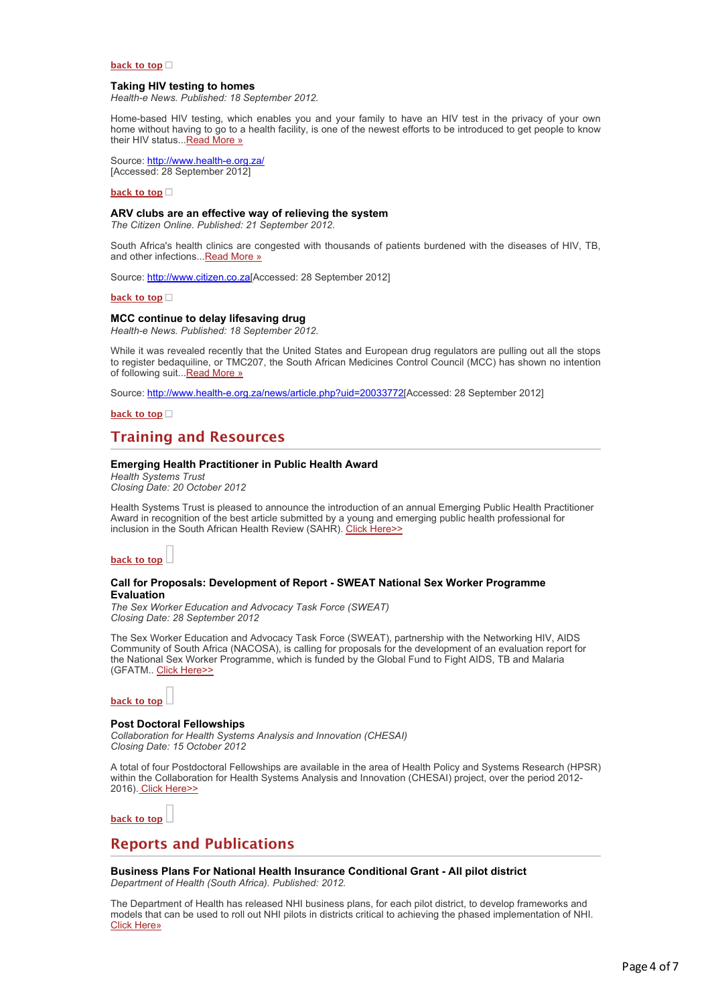## **[back to top](applewebdata://C25E41A8-66B7-47D9-968B-FF5C017F2E7B#top)**

### **Taking HIV testing to homes**

*Health-e News. Published: 18 September 2012.*

Home-based HIV testing, which enables you and your family to have an HIV test in the privacy of your own home without having to go to a health facility, is one of the newest efforts to be introduced to get people to know their HIV status..[.Read More »](http://bulletin.hst.org.za//lt.php?id=K09VDVBUVgMASlBWAUUHC1NR)

Source: [http://www.health-e.org.za/](http://bulletin.hst.org.za//lt.php?id=K09VDVBUVgMPSlBWAUUHC1NR) [Accessed: 28 September 2012]

#### **[back to top](applewebdata://C25E41A8-66B7-47D9-968B-FF5C017F2E7B#top)**

## **ARV clubs are an effective way of relieving the system**

*The Citizen Online. Published: 21 September 2012.*

South Africa's health clinics are congested with thousands of patients burdened with the diseases of HIV, TB, and other infections...[Read More »](http://bulletin.hst.org.za//lt.php?id=K09VDVBUVgMOSlBWAUUHC1NR)

Source: [http://www.citizen.co.za\[](http://bulletin.hst.org.za//lt.php?id=K09VDVBUVgAHSlBWAUUHC1NR)Accessed: 28 September 2012]

## **[back to top](applewebdata://C25E41A8-66B7-47D9-968B-FF5C017F2E7B#top)**

## **MCC continue to delay lifesaving drug**

*Health-e News. Published: 18 September 2012.*

While it was revealed recently that the United States and European drug regulators are pulling out all the stops to register bedaquiline, or TMC207, the South African Medicines Control Council (MCC) has shown no intention of following suit... Read More »

Source: [http://www.health-e.org.za/news/article.php?uid=20033772\[](http://bulletin.hst.org.za//lt.php?id=K09VDVBUVgAFSlBWAUUHC1NR)Accessed: 28 September 2012]

## **[back to top](applewebdata://C25E41A8-66B7-47D9-968B-FF5C017F2E7B#top)**

# **Training and Resources**

## **Emerging Health Practitioner in Public Health Award**

*Health Systems Trust Closing Date: 20 October 2012*

Health Systems Trust is pleased to announce the introduction of an annual Emerging Public Health Practitioner Award in recognition of the best article submitted by a young and emerging public health professional for inclusion in the South African Health Review (SAHR). [Click Here>>](http://bulletin.hst.org.za//lt.php?id=K09VDVBUVgAESlBWAUUHC1NR)

# **[back to top](applewebdata://C25E41A8-66B7-47D9-968B-FF5C017F2E7B#top)**

### **Call for Proposals: Development of Report - SWEAT National Sex Worker Programme Evaluation**

*The Sex Worker Education and Advocacy Task Force (SWEAT) Closing Date: 28 September 2012*

The Sex Worker Education and Advocacy Task Force (SWEAT), partnership with the Networking HIV, AIDS Community of South Africa (NACOSA), is calling for proposals for the development of an evaluation report for the National Sex Worker Programme, which is funded by the Global Fund to Fight AIDS, TB and Malaria (GFATM.. [Click Here>>](http://bulletin.hst.org.za//lt.php?id=K09VDVBUVgADSlBWAUUHC1NR)

### **[back to top](applewebdata://C25E41A8-66B7-47D9-968B-FF5C017F2E7B#top)**

## **Post Doctoral Fellowships**

*Collaboration for Health Systems Analysis and Innovation (CHESAI) Closing Date: 15 October 2012*

A total of four Postdoctoral Fellowships are available in the area of Health Policy and Systems Research (HPSR) within the Collaboration for Health Systems Analysis and Innovation (CHESAI) project, over the period 2012- 2016). [Click Here>>](http://bulletin.hst.org.za//lt.php?id=K09VDVBUVgACSlBWAUUHC1NR)

**[back to top](applewebdata://C25E41A8-66B7-47D9-968B-FF5C017F2E7B#top)**

# **Reports and Publications**

**Business Plans For National Health Insurance Conditional Grant - All pilot district** *Department of Health (South Africa). Published: 2012.*

The Department of Health has released NHI business plans, for each pilot district, to develop frameworks and models that can be used to roll out NHI pilots in districts critical to achieving the phased implementation of NHI. [Click Here»](http://bulletin.hst.org.za//lt.php?id=K09VDVBUVgABSlBWAUUHC1NR)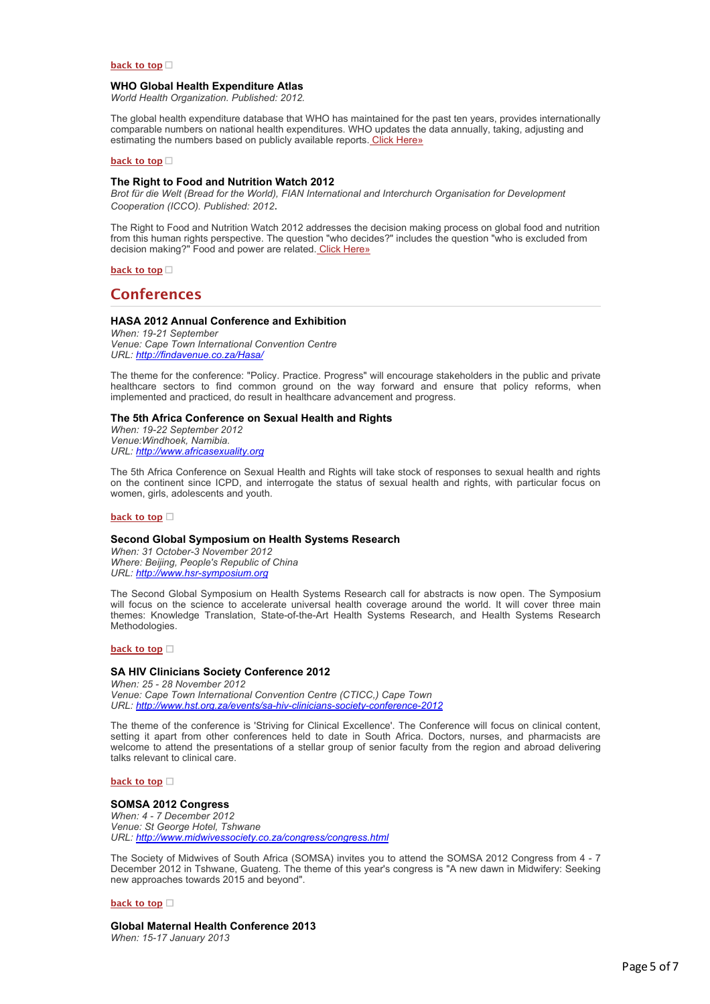## **[back to top](applewebdata://C25E41A8-66B7-47D9-968B-FF5C017F2E7B#top)**

### **WHO Global Health Expenditure Atlas**

*World Health Organization. Published: 2012.*

The global health expenditure database that WHO has maintained for the past ten years, provides internationally comparable numbers on national health expenditures. WHO updates the data annually, taking, adjusting and estimating the numbers based on publicly available reports. [Click Here»](http://bulletin.hst.org.za//lt.php?id=K09VDVBUVgAASlBWAUUHC1NR)

### **[back to top](applewebdata://C25E41A8-66B7-47D9-968B-FF5C017F2E7B#top)**

## **The Right to Food and Nutrition Watch 2012**

*Brot für die Welt (Bread for the World), FIAN International and Interchurch Organisation for Development Cooperation (ICCO). Published: 2012*.

The Right to Food and Nutrition Watch 2012 addresses the decision making process on global food and nutrition from this human rights perspective. The question "who decides?" includes the question "who is excluded from decision making?" Food and power are related. [Click Here»](http://bulletin.hst.org.za//lt.php?id=K09VDVBUVgAPSlBWAUUHC1NR)

**[back to top](applewebdata://C25E41A8-66B7-47D9-968B-FF5C017F2E7B#top)**

# **Conferences**

## **HASA 2012 Annual Conference and Exhibition**

*When: 19-21 September Venue: Cape Town International Convention Centre URL: [http://findavenue.co.za/Hasa/](http://bulletin.hst.org.za//lt.php?id=K09VDVBUVgAOSlBWAUUHC1NR)*

The theme for the conference: "Policy. Practice. Progress" will encourage stakeholders in the public and private healthcare sectors to find common ground on the way forward and ensure that policy reforms, when implemented and practiced, do result in healthcare advancement and progress.

#### **The 5th Africa Conference on Sexual Health and Rights**

*When: 19-22 September 2012 Venue:Windhoek, Namibia. URL: [http://www.africasexuality.org](http://bulletin.hst.org.za//lt.php?id=K09VDVBUVgEHSlBWAUUHC1NR)*

The 5th Africa Conference on Sexual Health and Rights will take stock of responses to sexual health and rights on the continent since ICPD, and interrogate the status of sexual health and rights, with particular focus on women, girls, adolescents and youth.

## **[back to top](applewebdata://C25E41A8-66B7-47D9-968B-FF5C017F2E7B#top)**

## **Second Global Symposium on Health Systems Research**

*When: 31 October-3 November 2012 Where: Beijing, People's Republic of China URL: [http://www.hsr-symposium.org](http://bulletin.hst.org.za//lt.php?id=K09VDVBUVgEGSlBWAUUHC1NR)*

The Second Global Symposium on Health Systems Research call for abstracts is now open. The Symposium will focus on the science to accelerate universal health coverage around the world. It will cover three main themes: Knowledge Translation, State-of-the-Art Health Systems Research, and Health Systems Research Methodologies.

#### **[back to top](applewebdata://C25E41A8-66B7-47D9-968B-FF5C017F2E7B#top)**

## **SA HIV Clinicians Society Conference 2012**

*When: 25 - 28 November 2012 Venue: Cape Town International Convention Centre (CTICC,) Cape Town URL: [http://www.hst.org.za/events/sa-hiv-clinicians-society-conference-2012](http://bulletin.hst.org.za//lt.php?id=K09VDVBUVgEFSlBWAUUHC1NR)*

The theme of the conference is 'Striving for Clinical Excellence'. The Conference will focus on clinical content, setting it apart from other conferences held to date in South Africa. Doctors, nurses, and pharmacists are welcome to attend the presentations of a stellar group of senior faculty from the region and abroad delivering talks relevant to clinical care.

#### **[back to top](applewebdata://C25E41A8-66B7-47D9-968B-FF5C017F2E7B#top)**

## **SOMSA 2012 Congress**

*When: 4 - 7 December 2012 Venue: St George Hotel, Tshwane URL: [http://www.midwivessociety.co.za/congress/congress.html](http://bulletin.hst.org.za//lt.php?id=K09VDVBUVgEESlBWAUUHC1NR)*

The Society of Midwives of South Africa (SOMSA) invites you to attend the SOMSA 2012 Congress from 4 - 7 December 2012 in Tshwane, Guateng. The theme of this year's congress is "A new dawn in Midwifery: Seeking new approaches towards 2015 and beyond".

#### **[back to top](applewebdata://C25E41A8-66B7-47D9-968B-FF5C017F2E7B#top)**

**Global Maternal Health Conference 2013** *When: 15-17 January 2013*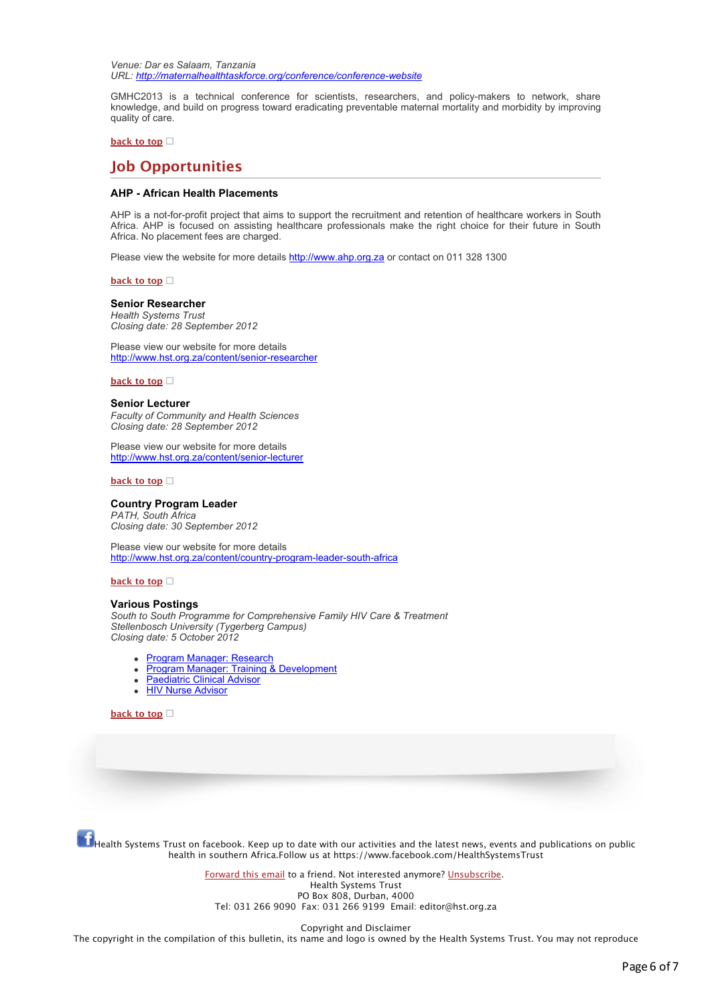*Venue: Dar es Salaam, Tanzania URL: [http://maternalhealthtaskforce.org/conference/conference-website](http://bulletin.hst.org.za//lt.php?id=K09VDVBUVgEDSlBWAUUHC1NR)*

GMHC2013 is a technical conference for scientists, researchers, and policy-makers to network, share knowledge, and build on progress toward eradicating preventable maternal mortality and morbidity by improving quality of care.

## **[back to top](applewebdata://C25E41A8-66B7-47D9-968B-FF5C017F2E7B#top)**

# **Job Opportunities**

## **AHP - African Health Placements**

AHP is a not-for-profit project that aims to support the recruitment and retention of healthcare workers in South Africa. AHP is focused on assisting healthcare professionals make the right choice for their future in South Africa. No placement fees are charged.

Please view the website for more details [http://www.ahp.org.za](http://bulletin.hst.org.za//lt.php?id=K09VDVBUVgECSlBWAUUHC1NR) or contact on 011 328 1300

**[back to top](applewebdata://C25E41A8-66B7-47D9-968B-FF5C017F2E7B#top)**

#### **Senior Researcher**

*Health Systems Trust Closing date: 28 September 2012*

Please view our website for more details [http://www.hst.org.za/content/senior-researcher](http://bulletin.hst.org.za//lt.php?id=K09VDVBUVgEBSlBWAUUHC1NR)

## **[back to top](applewebdata://C25E41A8-66B7-47D9-968B-FF5C017F2E7B#top)**

#### **Senior Lecturer**

*Faculty of Community and Health Sciences Closing date: 28 September 2012*

Please view our website for more details [http://www.hst.org.za/content/senior-lecturer](http://bulletin.hst.org.za//lt.php?id=K09VDVBUVgEASlBWAUUHC1NR)

**[back to top](applewebdata://C25E41A8-66B7-47D9-968B-FF5C017F2E7B#top)**

#### **Country Program Leader**

*PATH, South Africa Closing date: 30 September 2012*

Please view our website for more details [http://www.hst.org.za/content/country-program-leader-south-africa](http://bulletin.hst.org.za//lt.php?id=K09VDVBUVgEPSlBWAUUHC1NR)

## **[back to top](applewebdata://C25E41A8-66B7-47D9-968B-FF5C017F2E7B#top)**

## **Various Postings**

*South to South Programme for Comprehensive Family HIV Care & Treatment Stellenbosch University (Tygerberg Campus) Closing date: 5 October 2012*

- **[Program Manager: Research](http://bulletin.hst.org.za//lt.php?id=K09VDVBUVgEOSlBWAUUHC1NR)**
- [Program Manager: Training & Development](http://bulletin.hst.org.za//lt.php?id=K09VDVBUVg4HSlBWAUUHC1NR)
- [Paediatric Clinical Advisor](http://bulletin.hst.org.za//lt.php?id=K09VDVBUVg4GSlBWAUUHC1NR)  $\bullet$
- **[HIV Nurse Advisor](http://bulletin.hst.org.za//lt.php?id=K09VDVBUVg4FSlBWAUUHC1NR)**

## **[back to top](applewebdata://C25E41A8-66B7-47D9-968B-FF5C017F2E7B#top)**

Health Systems Trust on facebook. Keep up to date with our activities and the latest news, events and publications on public health in southern Africa.Follow us at https://www.facebook.com/HealthSystemsTrust

> [Forward this email](http://bulletin.hst.org.za//lt.php?id=K09VDVBUVg4ESlBWAUUHC1NR) to a friend. Not interested anymore? [Unsubscribe](http://bulletin.hst.org.za//lt.php?id=K09VDVBUVg4DSlBWAUUHC1NR). Health Systems Trust PO Box 808, Durban, 4000 Tel: 031 266 9090 Fax: 031 266 9199 Email: editor@hst.org.za

> > Copyright and Disclaimer

The copyright in the compilation of this bulletin, its name and logo is owned by the Health Systems Trust. You may not reproduce